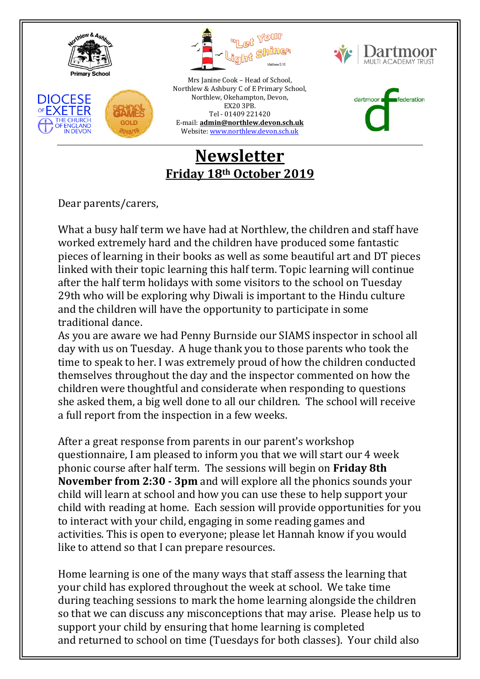







Mrs Janine Cook – Head of School, Northlew & Ashbury C of E Primary School, Northlew, Okehampton, Devon, EX20 3PB. Tel - 01409 221420 E-mail: **[admin@northlew.devon.sch.uk](mailto:admin@northlew.devon.sch.uk)** Website[: www.northlew.devon.sch.uk](http://www.northlew.devon.sch.uk/)

dartmoor federation

## **Newsletter Friday 18th October 2019**

Dear parents/carers,

What a busy half term we have had at Northlew, the children and staff have worked extremely hard and the children have produced some fantastic pieces of learning in their books as well as some beautiful art and DT pieces linked with their topic learning this half term. Topic learning will continue after the half term holidays with some visitors to the school on Tuesday 29th who will be exploring why Diwali is important to the Hindu culture and the children will have the opportunity to participate in some traditional dance.

As you are aware we had Penny Burnside our SIAMS inspector in school all day with us on Tuesday. A huge thank you to those parents who took the time to speak to her. I was extremely proud of how the children conducted themselves throughout the day and the inspector commented on how the children were thoughtful and considerate when responding to questions she asked them, a big well done to all our children. The school will receive a full report from the inspection in a few weeks.

After a great response from parents in our parent's workshop questionnaire, I am pleased to inform you that we will start our 4 week phonic course after half term. The sessions will begin on **Friday 8th November from 2:30 - 3pm** and will explore all the phonics sounds your child will learn at school and how you can use these to help support your child with reading at home. Each session will provide opportunities for you to interact with your child, engaging in some reading games and activities. This is open to everyone; please let Hannah know if you would like to attend so that I can prepare resources.

Home learning is one of the many ways that staff assess the learning that your child has explored throughout the week at school. We take time during teaching sessions to mark the home learning alongside the children so that we can discuss any misconceptions that may arise. Please help us to support your child by ensuring that home learning is completed and returned to school on time (Tuesdays for both classes). Your child also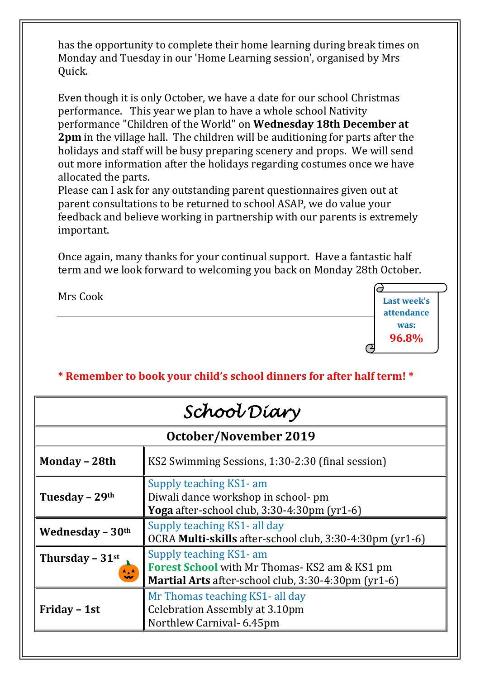has the opportunity to complete their home learning during break times on Monday and Tuesday in our 'Home Learning session', organised by Mrs Quick.

Even though it is only October, we have a date for our school Christmas performance. This year we plan to have a whole school Nativity performance "Children of the World" on **Wednesday 18th December at 2pm** in the village hall. The children will be auditioning for parts after the holidays and staff will be busy preparing scenery and props. We will send out more information after the holidays regarding costumes once we have allocated the parts.

Please can I ask for any outstanding parent questionnaires given out at parent consultations to be returned to school ASAP, we do value your feedback and believe working in partnership with our parents is extremely important.

Once again, many thanks for your continual support. Have a fantastic half term and we look forward to welcoming you back on Monday 28th October.

> **Last week's attendance was: 96.8%**

Mrs Cook

## **\* Remember to book your child's school dinners for after half term! \***

| School Diary                  |                                                                                                                                       |
|-------------------------------|---------------------------------------------------------------------------------------------------------------------------------------|
| <b>October/November 2019</b>  |                                                                                                                                       |
| Monday - 28th                 | KS2 Swimming Sessions, 1:30-2:30 (final session)                                                                                      |
| Tuesday - 29th                | Supply teaching KS1- am<br>Diwali dance workshop in school- pm<br>Yoga after-school club, $3:30-4:30 \text{pm}$ (yr $1-6$ )           |
| Wednesday $-30$ <sup>th</sup> | Supply teaching KS1- all day<br>OCRA Multi-skills after-school club, 3:30-4:30pm (yr1-6)                                              |
| Thursday - 31st<br>47         | Supply teaching KS1- am<br><b>Forest School</b> with Mr Thomas-KS2 am & KS1 pm<br>Martial Arts after-school club, 3:30-4:30pm (yr1-6) |
| Friday - 1st                  | Mr Thomas teaching KS1- all day<br>Celebration Assembly at 3.10pm<br>Northlew Carnival- 6.45pm                                        |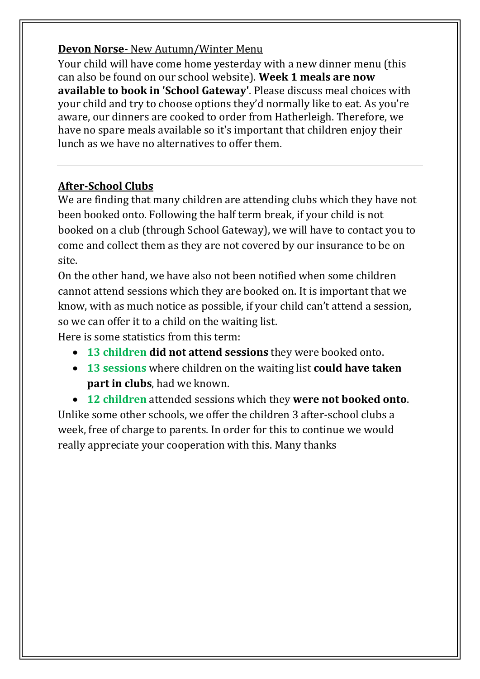### **Devon Norse-** New Autumn/Winter Menu

Your child will have come home yesterday with a new dinner menu (this can also be found on our school website). **Week 1 meals are now available to book in 'School Gateway'**. Please discuss meal choices with your child and try to choose options they'd normally like to eat. As you're aware, our dinners are cooked to order from Hatherleigh. Therefore, we have no spare meals available so it's important that children enjoy their lunch as we have no alternatives to offer them.

### **After-School Clubs**

We are finding that many children are attending clubs which they have not been booked onto. Following the half term break, if your child is not booked on a club (through School Gateway), we will have to contact you to come and collect them as they are not covered by our insurance to be on site.

On the other hand, we have also not been notified when some children cannot attend sessions which they are booked on. It is important that we know, with as much notice as possible, if your child can't attend a session, so we can offer it to a child on the waiting list.

Here is some statistics from this term:

- **13 children did not attend sessions** they were booked onto.
- **13 sessions** where children on the waiting list **could have taken part in clubs**, had we known.

 **12 children** attended sessions which they **were not booked onto**. Unlike some other schools, we offer the children 3 after-school clubs a week, free of charge to parents. In order for this to continue we would really appreciate your cooperation with this. Many thanks